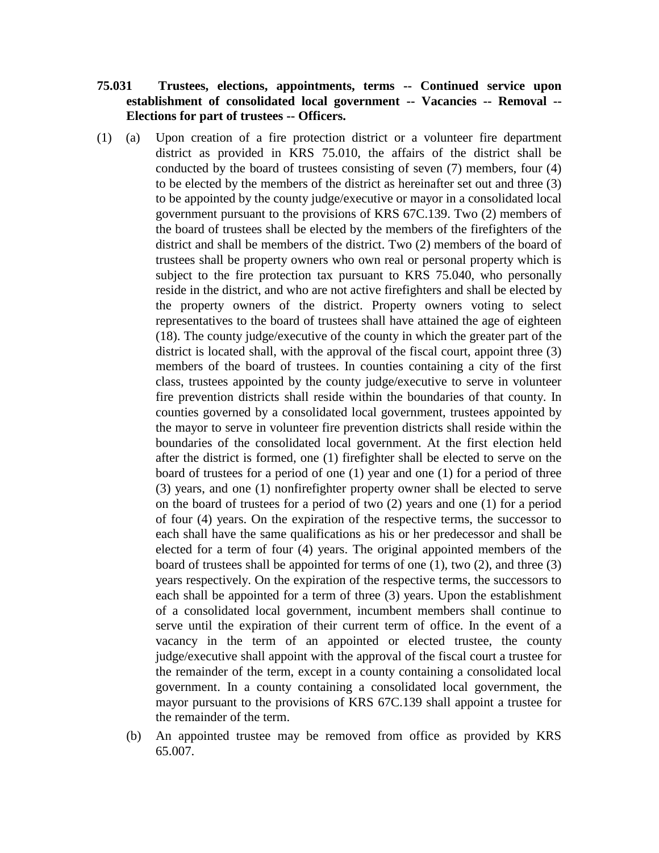## **75.031 Trustees, elections, appointments, terms -- Continued service upon establishment of consolidated local government -- Vacancies -- Removal -- Elections for part of trustees -- Officers.**

- (1) (a) Upon creation of a fire protection district or a volunteer fire department district as provided in KRS 75.010, the affairs of the district shall be conducted by the board of trustees consisting of seven (7) members, four (4) to be elected by the members of the district as hereinafter set out and three (3) to be appointed by the county judge/executive or mayor in a consolidated local government pursuant to the provisions of KRS 67C.139. Two (2) members of the board of trustees shall be elected by the members of the firefighters of the district and shall be members of the district. Two (2) members of the board of trustees shall be property owners who own real or personal property which is subject to the fire protection tax pursuant to KRS 75.040, who personally reside in the district, and who are not active firefighters and shall be elected by the property owners of the district. Property owners voting to select representatives to the board of trustees shall have attained the age of eighteen (18). The county judge/executive of the county in which the greater part of the district is located shall, with the approval of the fiscal court, appoint three (3) members of the board of trustees. In counties containing a city of the first class, trustees appointed by the county judge/executive to serve in volunteer fire prevention districts shall reside within the boundaries of that county. In counties governed by a consolidated local government, trustees appointed by the mayor to serve in volunteer fire prevention districts shall reside within the boundaries of the consolidated local government. At the first election held after the district is formed, one (1) firefighter shall be elected to serve on the board of trustees for a period of one (1) year and one (1) for a period of three (3) years, and one (1) nonfirefighter property owner shall be elected to serve on the board of trustees for a period of two (2) years and one (1) for a period of four (4) years. On the expiration of the respective terms, the successor to each shall have the same qualifications as his or her predecessor and shall be elected for a term of four (4) years. The original appointed members of the board of trustees shall be appointed for terms of one (1), two (2), and three (3) years respectively. On the expiration of the respective terms, the successors to each shall be appointed for a term of three (3) years. Upon the establishment of a consolidated local government, incumbent members shall continue to serve until the expiration of their current term of office. In the event of a vacancy in the term of an appointed or elected trustee, the county judge/executive shall appoint with the approval of the fiscal court a trustee for the remainder of the term, except in a county containing a consolidated local government. In a county containing a consolidated local government, the mayor pursuant to the provisions of KRS 67C.139 shall appoint a trustee for the remainder of the term.
	- (b) An appointed trustee may be removed from office as provided by KRS 65.007.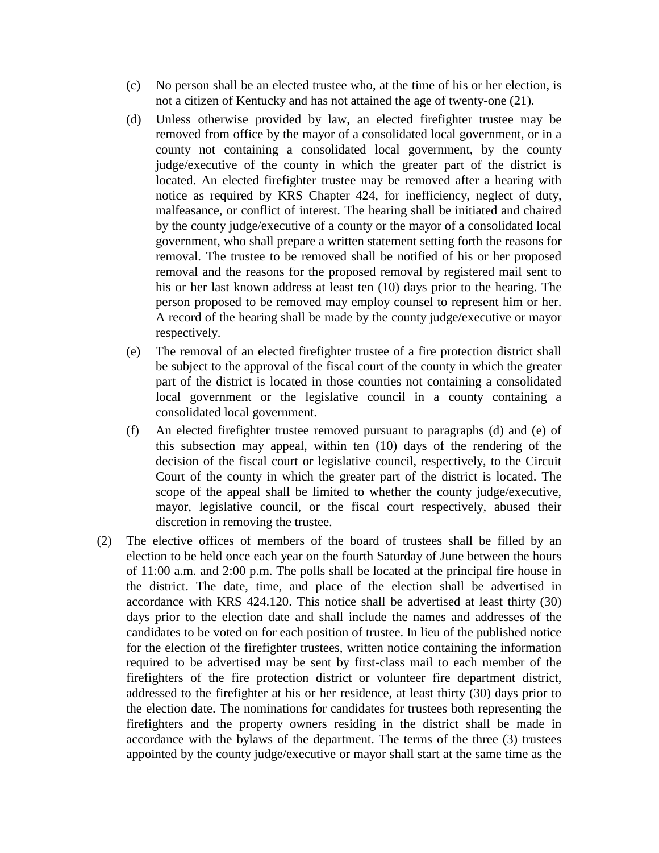- (c) No person shall be an elected trustee who, at the time of his or her election, is not a citizen of Kentucky and has not attained the age of twenty-one (21).
- (d) Unless otherwise provided by law, an elected firefighter trustee may be removed from office by the mayor of a consolidated local government, or in a county not containing a consolidated local government, by the county judge/executive of the county in which the greater part of the district is located. An elected firefighter trustee may be removed after a hearing with notice as required by KRS Chapter 424, for inefficiency, neglect of duty, malfeasance, or conflict of interest. The hearing shall be initiated and chaired by the county judge/executive of a county or the mayor of a consolidated local government, who shall prepare a written statement setting forth the reasons for removal. The trustee to be removed shall be notified of his or her proposed removal and the reasons for the proposed removal by registered mail sent to his or her last known address at least ten (10) days prior to the hearing. The person proposed to be removed may employ counsel to represent him or her. A record of the hearing shall be made by the county judge/executive or mayor respectively.
- (e) The removal of an elected firefighter trustee of a fire protection district shall be subject to the approval of the fiscal court of the county in which the greater part of the district is located in those counties not containing a consolidated local government or the legislative council in a county containing a consolidated local government.
- (f) An elected firefighter trustee removed pursuant to paragraphs (d) and (e) of this subsection may appeal, within ten (10) days of the rendering of the decision of the fiscal court or legislative council, respectively, to the Circuit Court of the county in which the greater part of the district is located. The scope of the appeal shall be limited to whether the county judge/executive, mayor, legislative council, or the fiscal court respectively, abused their discretion in removing the trustee.
- (2) The elective offices of members of the board of trustees shall be filled by an election to be held once each year on the fourth Saturday of June between the hours of 11:00 a.m. and 2:00 p.m. The polls shall be located at the principal fire house in the district. The date, time, and place of the election shall be advertised in accordance with KRS 424.120. This notice shall be advertised at least thirty (30) days prior to the election date and shall include the names and addresses of the candidates to be voted on for each position of trustee. In lieu of the published notice for the election of the firefighter trustees, written notice containing the information required to be advertised may be sent by first-class mail to each member of the firefighters of the fire protection district or volunteer fire department district, addressed to the firefighter at his or her residence, at least thirty (30) days prior to the election date. The nominations for candidates for trustees both representing the firefighters and the property owners residing in the district shall be made in accordance with the bylaws of the department. The terms of the three (3) trustees appointed by the county judge/executive or mayor shall start at the same time as the